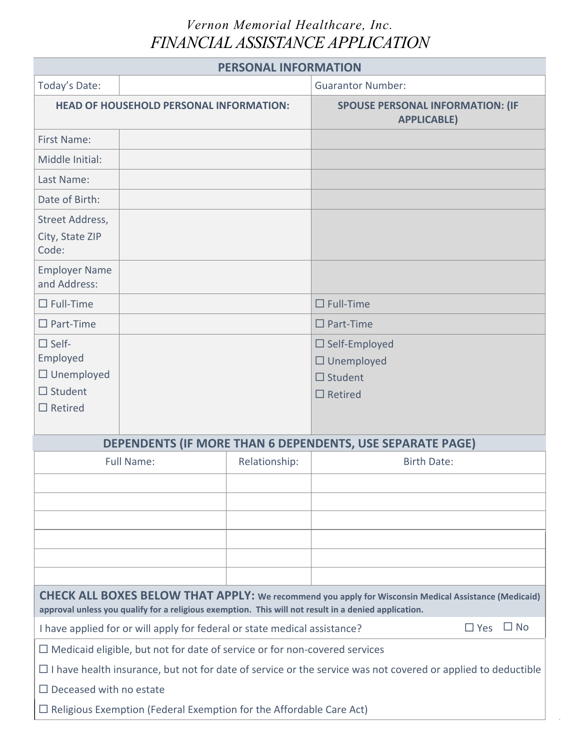## *Vernon Memorial Healthcare, Inc. FINANCIAL ASSISTANCE APPLICATION*

| <b>PERSONAL INFORMATION</b>                                                                                                                                                                                         |                                                                                   |                                                               |                                                                               |  |  |  |  |
|---------------------------------------------------------------------------------------------------------------------------------------------------------------------------------------------------------------------|-----------------------------------------------------------------------------------|---------------------------------------------------------------|-------------------------------------------------------------------------------|--|--|--|--|
| Today's Date:                                                                                                                                                                                                       |                                                                                   | <b>Guarantor Number:</b>                                      |                                                                               |  |  |  |  |
| <b>HEAD OF HOUSEHOLD PERSONAL INFORMATION:</b>                                                                                                                                                                      |                                                                                   | <b>SPOUSE PERSONAL INFORMATION: (IF</b><br><b>APPLICABLE)</b> |                                                                               |  |  |  |  |
| <b>First Name:</b>                                                                                                                                                                                                  |                                                                                   |                                                               |                                                                               |  |  |  |  |
| Middle Initial:                                                                                                                                                                                                     |                                                                                   |                                                               |                                                                               |  |  |  |  |
| Last Name:                                                                                                                                                                                                          |                                                                                   |                                                               |                                                                               |  |  |  |  |
| Date of Birth:                                                                                                                                                                                                      |                                                                                   |                                                               |                                                                               |  |  |  |  |
| Street Address,<br>City, State ZIP<br>Code:                                                                                                                                                                         |                                                                                   |                                                               |                                                                               |  |  |  |  |
| <b>Employer Name</b><br>and Address:                                                                                                                                                                                |                                                                                   |                                                               |                                                                               |  |  |  |  |
| $\Box$ Full-Time                                                                                                                                                                                                    |                                                                                   |                                                               | $\Box$ Full-Time                                                              |  |  |  |  |
| $\square$ Part-Time                                                                                                                                                                                                 |                                                                                   |                                                               | $\square$ Part-Time                                                           |  |  |  |  |
| $\square$ Self-<br>Employed<br>$\Box$ Unemployed<br>$\Box$ Student<br>$\Box$ Retired                                                                                                                                |                                                                                   |                                                               | $\Box$ Self-Employed<br>$\Box$ Unemployed<br>$\Box$ Student<br>$\Box$ Retired |  |  |  |  |
|                                                                                                                                                                                                                     | DEPENDENTS (IF MORE THAN 6 DEPENDENTS, USE SEPARATE PAGE)                         |                                                               |                                                                               |  |  |  |  |
| <b>Full Name:</b>                                                                                                                                                                                                   |                                                                                   | Relationship:                                                 | <b>Birth Date:</b>                                                            |  |  |  |  |
|                                                                                                                                                                                                                     |                                                                                   |                                                               |                                                                               |  |  |  |  |
|                                                                                                                                                                                                                     |                                                                                   |                                                               |                                                                               |  |  |  |  |
|                                                                                                                                                                                                                     |                                                                                   |                                                               |                                                                               |  |  |  |  |
|                                                                                                                                                                                                                     |                                                                                   |                                                               |                                                                               |  |  |  |  |
|                                                                                                                                                                                                                     |                                                                                   |                                                               |                                                                               |  |  |  |  |
|                                                                                                                                                                                                                     |                                                                                   |                                                               |                                                                               |  |  |  |  |
| <b>CHECK ALL BOXES BELOW THAT APPLY:</b> We recommend you apply for Wisconsin Medical Assistance (Medicaid)<br>approval unless you qualify for a religious exemption. This will not result in a denied application. |                                                                                   |                                                               |                                                                               |  |  |  |  |
| $\Box$ No<br>$\Box$ Yes<br>I have applied for or will apply for federal or state medical assistance?                                                                                                                |                                                                                   |                                                               |                                                                               |  |  |  |  |
|                                                                                                                                                                                                                     | $\Box$ Medicaid eligible, but not for date of service or for non-covered services |                                                               |                                                                               |  |  |  |  |
| $\Box$ I have health insurance, but not for date of service or the service was not covered or applied to deductible                                                                                                 |                                                                                   |                                                               |                                                                               |  |  |  |  |
| $\Box$ Deceased with no estate                                                                                                                                                                                      |                                                                                   |                                                               |                                                                               |  |  |  |  |
| $\Box$ Religious Exemption (Federal Exemption for the Affordable Care Act)                                                                                                                                          |                                                                                   |                                                               |                                                                               |  |  |  |  |